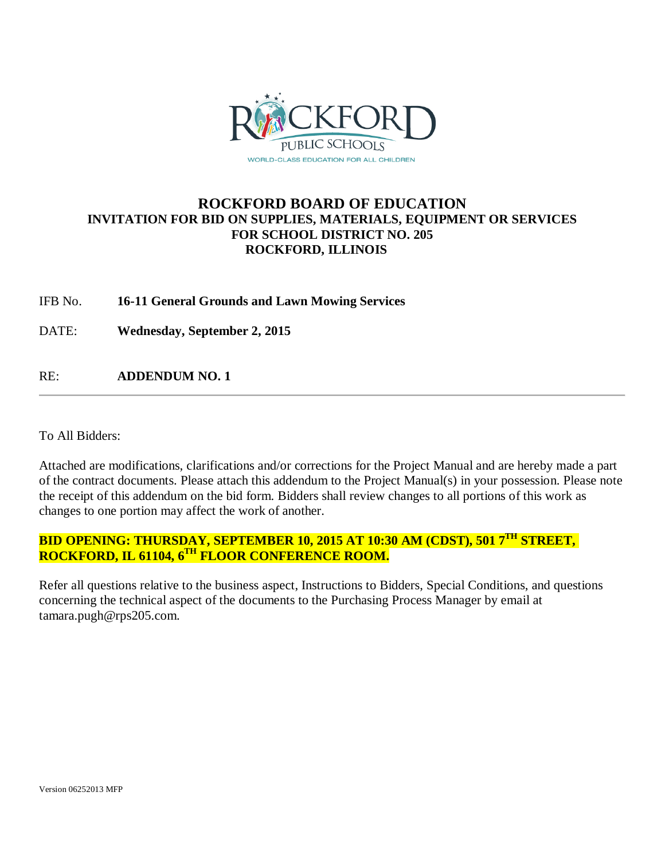

## **ROCKFORD BOARD OF EDUCATION INVITATION FOR BID ON SUPPLIES, MATERIALS, EQUIPMENT OR SERVICES FOR SCHOOL DISTRICT NO. 205 ROCKFORD, ILLINOIS**

IFB No. **16-11 General Grounds and Lawn Mowing Services**

DATE: **Wednesday, September 2, 2015**

RE: **ADDENDUM NO. 1**

To All Bidders:

Attached are modifications, clarifications and/or corrections for the Project Manual and are hereby made a part of the contract documents. Please attach this addendum to the Project Manual(s) in your possession. Please note the receipt of this addendum on the bid form. Bidders shall review changes to all portions of this work as changes to one portion may affect the work of another.

# **BID OPENING: THURSDAY, SEPTEMBER 10, 2015 AT 10:30 AM (CDST), 501 7TH STREET, ROCKFORD, IL 61104, 6TH FLOOR CONFERENCE ROOM.**

Refer all questions relative to the business aspect, Instructions to Bidders, Special Conditions, and questions concerning the technical aspect of the documents to the Purchasing Process Manager by email at tamara.pugh@rps205.com.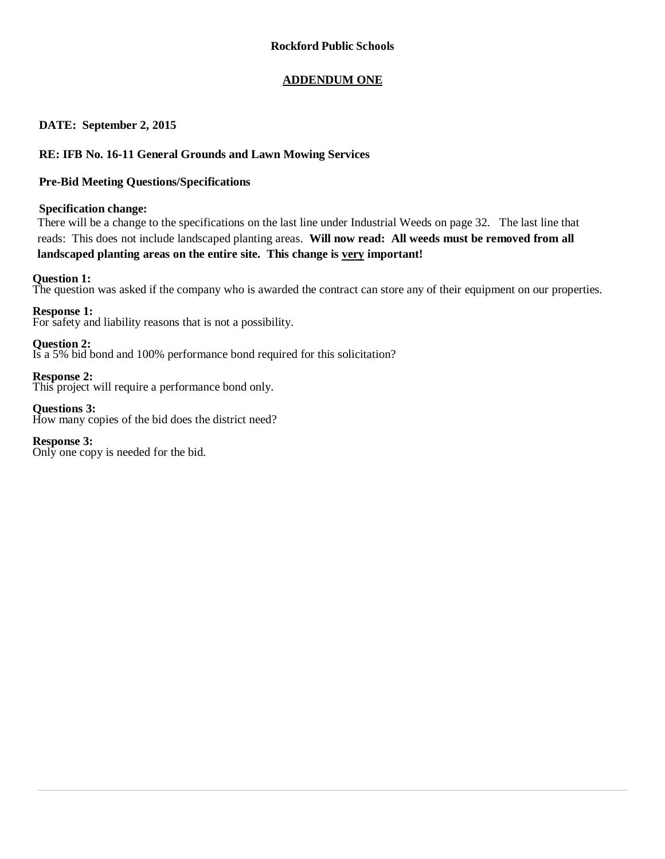### **ADDENDUM ONE**

### **DATE: September 2, 2015**

### **RE: IFB No. 16-11 General Grounds and Lawn Mowing Services**

### **Pre-Bid Meeting Questions/Specifications**

### **Specification change:**

There will be a change to the specifications on the last line under Industrial Weeds on page 32. The last line that reads: This does not include landscaped planting areas. **Will now read: All weeds must be removed from all landscaped planting areas on the entire site. This change is very important!**

### **Question 1:**

The question was asked if the company who is awarded the contract can store any of their equipment on our properties.

**Response 1:**

For safety and liability reasons that is not a possibility.

**Question 2:**

Is a 5% bid bond and 100% performance bond required for this solicitation?

**Response 2:** This project will require a performance bond only.

**Questions 3:** How many copies of the bid does the district need?

**Response 3:** Only one copy is needed for the bid.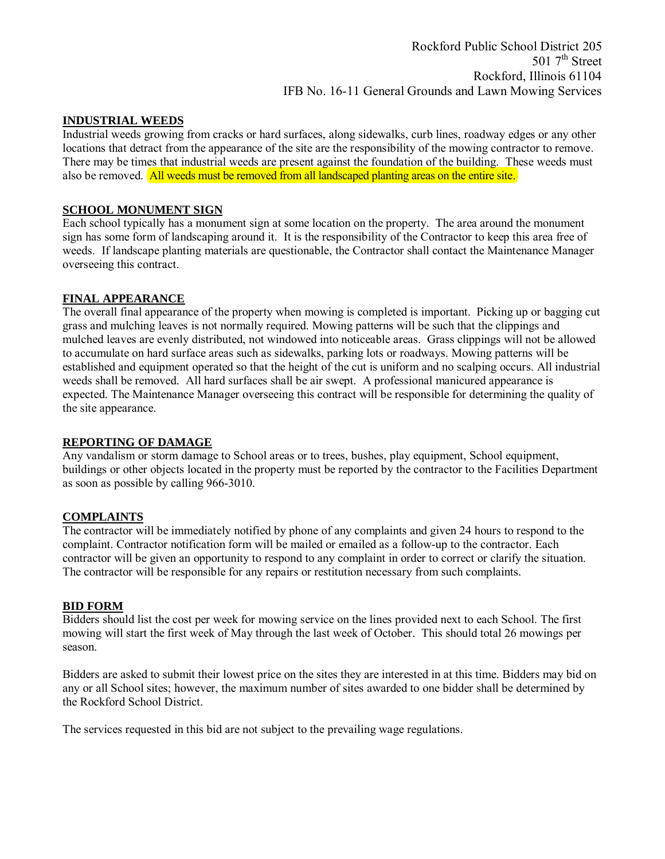Rockford Public School District 205 501 7<sup>th</sup> Street Rockford, Illinois 61104 IFB No. 16-11 General Grounds and Lawn Mowing Services

#### **INDUSTRIAL WEEDS**

Industrial weeds growing from cracks or hard surfaces, along sidewalks, curb lines, roadway edges or any other locations that detract from the appearance of the site are the responsibility of the mowing contractor to remove. There may be times that industrial weeds are present against the foundation of the building. These weeds must also be removed. All weeds must be removed from all landscaped planting areas on the entire site.

#### **SCHOOL MONUMENT SIGN**

Each school typically has a monument sign at some location on the property. The area around the monument sign has some form of landscaping around it. It is the responsibility of the Contractor to keep this area free of weeds. If landscape planting materials are questionable, the Contractor shall contact the Maintenance Manager overseeing this contract.

#### **FINAL APPEARANCE**

The overall final appearance of the property when mowing is completed is important. Picking up or bagging cut grass and mulching leaves is not normally required. Mowing patterns will be such that the clippings and mulched leaves are evenly distributed, not windowed into noticeable areas. Grass clippings will not be allowed to accumulate on hard surface areas such as sidewalks, parking lots or roadways. Mowing patterns will be established and equipment operated so that the height of the cut is uniform and no scalping occurs. All industrial weeds shall be removed. All hard surfaces shall be air swept. A professional manicured appearance is expected. The Maintenance Manager overseeing this contract will be responsible for determining the quality of the site appearance.

#### **REPORTING OF DAMAGE**

Any vandalism or storm damage to School areas or to trees, bushes, play equipment, School equipment, buildings or other objects located in the property must be reported by the contractor to the Facilities Department as soon as possible by calling 966-3010.

#### **COMPLAINTS**

The contractor will be immediately notified by phone of any complaints and given 24 hours to respond to the complaint. Contractor notification form will be mailed or emailed as a follow-up to the contractor. Each contractor will be given an opportunity to respond to any complaint in order to correct or clarify the situation. The contractor will be responsible for any repairs or restitution necessary from such complaints.

#### **BID FORM**

Bidders should list the cost per week for mowing service on the lines provided next to each School. The first mowing will start the first week of May through the last week of October. This should total 26 mowings per season.

Bidders are asked to submit their lowest price on the sites they are interested in at this time. Bidders may bid on any or all School sites; however, the maximum number of sites awarded to one bidder shall be determined by the Rockford School District.

The services requested in this bid are not subject to the prevailing wage regulations.